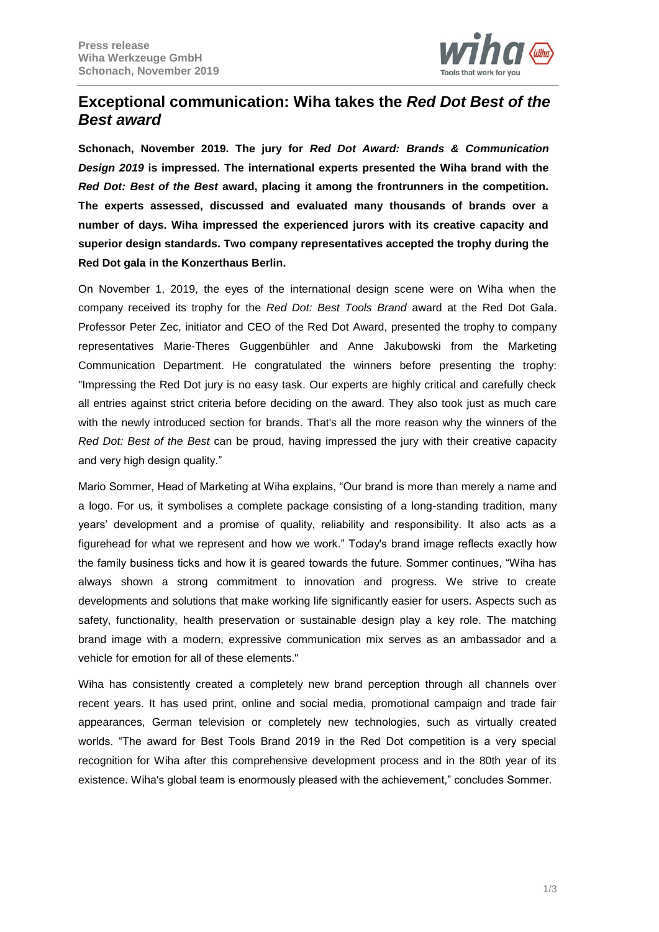

# **Exceptional communication: Wiha takes the** *Red Dot Best of the Best award*

**Schonach, November 2019. The jury for** *Red Dot Award: Brands & Communication Design 2019* **is impressed. The international experts presented the Wiha brand with the**  *Red Dot: Best of the Best* **award, placing it among the frontrunners in the competition. The experts assessed, discussed and evaluated many thousands of brands over a number of days. Wiha impressed the experienced jurors with its creative capacity and superior design standards. Two company representatives accepted the trophy during the Red Dot gala in the Konzerthaus Berlin.**

On November 1, 2019, the eyes of the international design scene were on Wiha when the company received its trophy for the *Red Dot: Best Tools Brand* award at the Red Dot Gala. Professor Peter Zec, initiator and CEO of the Red Dot Award, presented the trophy to company representatives Marie-Theres Guggenbühler and Anne Jakubowski from the Marketing Communication Department. He congratulated the winners before presenting the trophy: "Impressing the Red Dot jury is no easy task. Our experts are highly critical and carefully check all entries against strict criteria before deciding on the award. They also took just as much care with the newly introduced section for brands. That's all the more reason why the winners of the *Red Dot: Best of the Best* can be proud, having impressed the jury with their creative capacity and very high design quality."

Mario Sommer, Head of Marketing at Wiha explains, "Our brand is more than merely a name and a logo. For us, it symbolises a complete package consisting of a long-standing tradition, many years' development and a promise of quality, reliability and responsibility. It also acts as a figurehead for what we represent and how we work." Today's brand image reflects exactly how the family business ticks and how it is geared towards the future. Sommer continues, "Wiha has always shown a strong commitment to innovation and progress. We strive to create developments and solutions that make working life significantly easier for users. Aspects such as safety, functionality, health preservation or sustainable design play a key role. The matching brand image with a modern, expressive communication mix serves as an ambassador and a vehicle for emotion for all of these elements."

Wiha has consistently created a completely new brand perception through all channels over recent years. It has used print, online and social media, promotional campaign and trade fair appearances, German television or completely new technologies, such as virtually created worlds. "The award for Best Tools Brand 2019 in the Red Dot competition is a very special recognition for Wiha after this comprehensive development process and in the 80th year of its existence. Wiha's global team is enormously pleased with the achievement," concludes Sommer.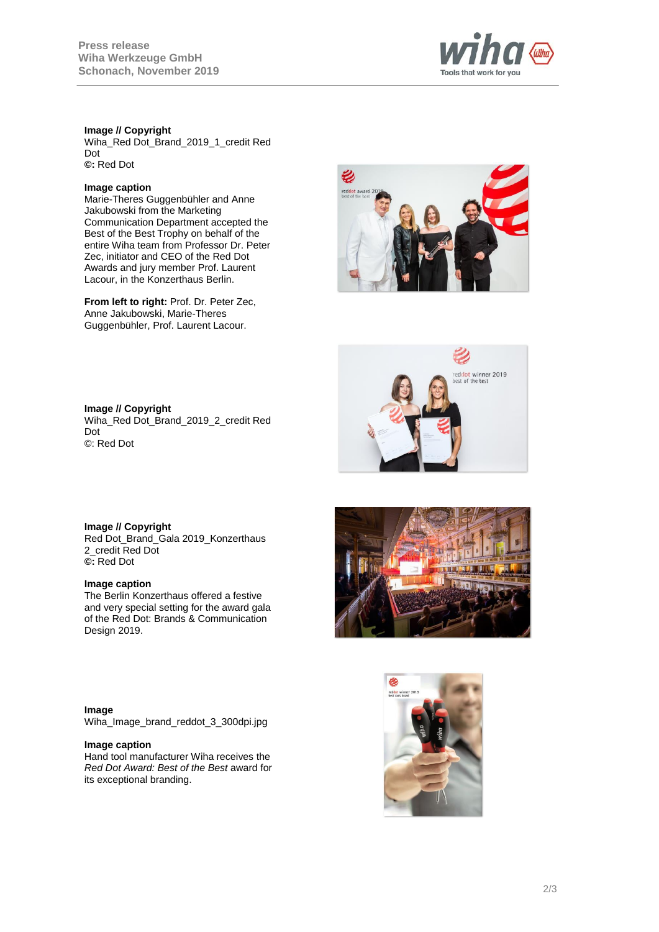

## **Image // Copyright**

Wiha\_Red Dot\_Brand\_2019\_1\_credit Red Dot **©:** Red Dot

# **Image caption**

Marie-Theres Guggenbühler and Anne Jakubowski from the Marketing Communication Department accepted the Best of the Best Trophy on behalf of the entire Wiha team from Professor Dr. Peter Zec, initiator and CEO of the Red Dot Awards and jury member Prof. Laurent Lacour, in the Konzerthaus Berlin.

**From left to right:** Prof. Dr. Peter Zec, Anne Jakubowski, Marie-Theres Guggenbühler, Prof. Laurent Lacour.





**Image // Copyright** Wiha\_Red Dot\_Brand\_2019\_2\_credit Red Dot ©: Red Dot

**Image // Copyright** Red Dot\_Brand\_Gala 2019\_Konzerthaus 2\_credit Red Dot **©:** Red Dot

#### **Image caption**

The Berlin Konzerthaus offered a festive and very special setting for the award gala of the Red Dot: Brands & Communication Design 2019.

**Image** Wiha\_Image\_brand\_reddot\_3\_300dpi.jpg

#### **Image caption**

Hand tool manufacturer Wiha receives the *Red Dot Award: Best of the Best* award for its exceptional branding.